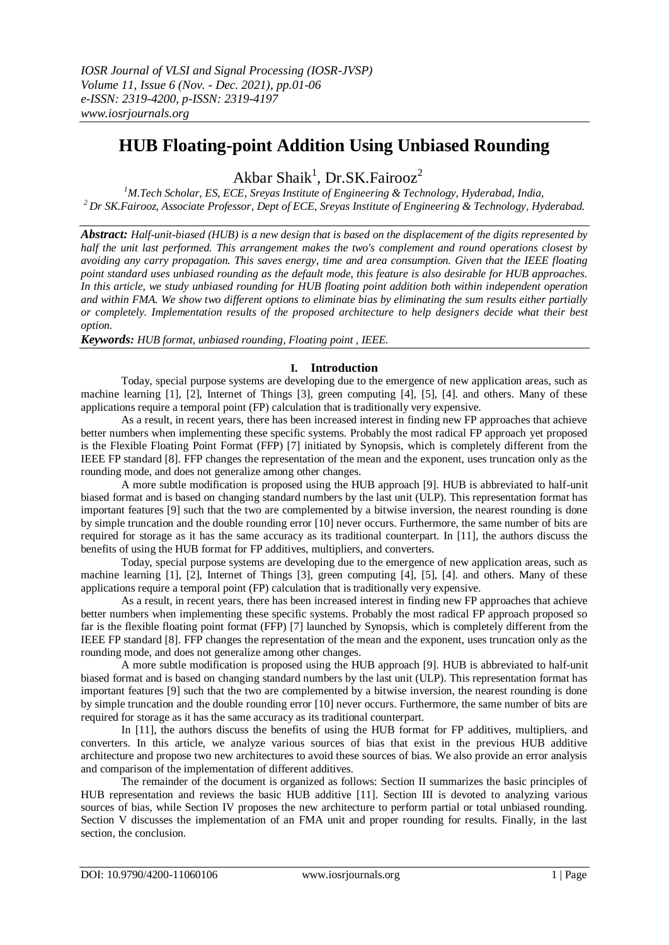# **HUB Floating-point Addition Using Unbiased Rounding**

Akbar Shaik<sup>1</sup>, Dr.SK.Fairooz<sup>2</sup>

*<sup>1</sup>M.Tech Scholar, ES, ECE, Sreyas Institute of Engineering & Technology, Hyderabad, India, <sup>2</sup>Dr SK.Fairooz, Associate Professor, Dept of ECE, Sreyas Institute of Engineering & Technology, Hyderabad.*

*Abstract: Half-unit-biased (HUB) is a new design that is based on the displacement of the digits represented by half the unit last performed. This arrangement makes the two's complement and round operations closest by avoiding any carry propagation. This saves energy, time and area consumption. Given that the IEEE floating point standard uses unbiased rounding as the default mode, this feature is also desirable for HUB approaches. In this article, we study unbiased rounding for HUB floating point addition both within independent operation and within FMA. We show two different options to eliminate bias by eliminating the sum results either partially or completely. Implementation results of the proposed architecture to help designers decide what their best option.*

*Keywords: HUB format, unbiased rounding, Floating point , IEEE.*

## **I. Introduction**

Today, special purpose systems are developing due to the emergence of new application areas, such as machine learning [1], [2], Internet of Things [3], green computing [4], [5], [4]. and others. Many of these applications require a temporal point (FP) calculation that is traditionally very expensive.

As a result, in recent years, there has been increased interest in finding new FP approaches that achieve better numbers when implementing these specific systems. Probably the most radical FP approach yet proposed is the Flexible Floating Point Format (FFP) [7] initiated by Synopsis, which is completely different from the IEEE FP standard [8]. FFP changes the representation of the mean and the exponent, uses truncation only as the rounding mode, and does not generalize among other changes.

A more subtle modification is proposed using the HUB approach [9]. HUB is abbreviated to half-unit biased format and is based on changing standard numbers by the last unit (ULP). This representation format has important features [9] such that the two are complemented by a bitwise inversion, the nearest rounding is done by simple truncation and the double rounding error [10] never occurs. Furthermore, the same number of bits are required for storage as it has the same accuracy as its traditional counterpart. In [11], the authors discuss the benefits of using the HUB format for FP additives, multipliers, and converters.

Today, special purpose systems are developing due to the emergence of new application areas, such as machine learning [1], [2], Internet of Things [3], green computing [4], [5], [4]. and others. Many of these applications require a temporal point (FP) calculation that is traditionally very expensive.

As a result, in recent years, there has been increased interest in finding new FP approaches that achieve better numbers when implementing these specific systems. Probably the most radical FP approach proposed so far is the flexible floating point format (FFP) [7] launched by Synopsis, which is completely different from the IEEE FP standard [8]. FFP changes the representation of the mean and the exponent, uses truncation only as the rounding mode, and does not generalize among other changes.

A more subtle modification is proposed using the HUB approach [9]. HUB is abbreviated to half-unit biased format and is based on changing standard numbers by the last unit (ULP). This representation format has important features [9] such that the two are complemented by a bitwise inversion, the nearest rounding is done by simple truncation and the double rounding error [10] never occurs. Furthermore, the same number of bits are required for storage as it has the same accuracy as its traditional counterpart.

In [11], the authors discuss the benefits of using the HUB format for FP additives, multipliers, and converters. In this article, we analyze various sources of bias that exist in the previous HUB additive architecture and propose two new architectures to avoid these sources of bias. We also provide an error analysis and comparison of the implementation of different additives.

The remainder of the document is organized as follows: Section II summarizes the basic principles of HUB representation and reviews the basic HUB additive [11]. Section III is devoted to analyzing various sources of bias, while Section IV proposes the new architecture to perform partial or total unbiased rounding. Section V discusses the implementation of an FMA unit and proper rounding for results. Finally, in the last section, the conclusion.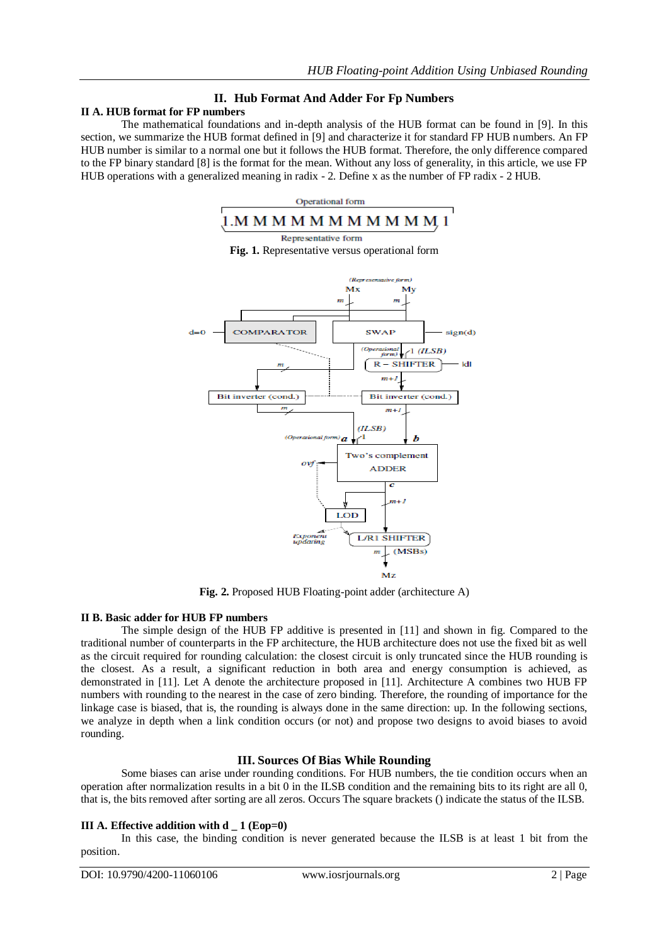# **II. Hub Format And Adder For Fp Numbers**

# **II A. HUB format for FP numbers**

The mathematical foundations and in-depth analysis of the HUB format can be found in [9]. In this section, we summarize the HUB format defined in [9] and characterize it for standard FP HUB numbers. An FP HUB number is similar to a normal one but it follows the HUB format. Therefore, the only difference compared to the FP binary standard [8] is the format for the mean. Without any loss of generality, in this article, we use FP HUB operations with a generalized meaning in radix - 2. Define x as the number of FP radix - 2 HUB.



**Fig. 2.** Proposed HUB Floating-point adder (architecture A)

#### **II B. Basic adder for HUB FP numbers**

The simple design of the HUB FP additive is presented in [11] and shown in fig. Compared to the traditional number of counterparts in the FP architecture, the HUB architecture does not use the fixed bit as well as the circuit required for rounding calculation: the closest circuit is only truncated since the HUB rounding is the closest. As a result, a significant reduction in both area and energy consumption is achieved, as demonstrated in [11]. Let A denote the architecture proposed in [11]. Architecture A combines two HUB FP numbers with rounding to the nearest in the case of zero binding. Therefore, the rounding of importance for the linkage case is biased, that is, the rounding is always done in the same direction: up. In the following sections, we analyze in depth when a link condition occurs (or not) and propose two designs to avoid biases to avoid rounding.

## **III. Sources Of Bias While Rounding**

Some biases can arise under rounding conditions. For HUB numbers, the tie condition occurs when an operation after normalization results in a bit 0 in the ILSB condition and the remaining bits to its right are all 0, that is, the bits removed after sorting are all zeros. Occurs The square brackets () indicate the status of the ILSB.

## **III A. Effective addition with d \_ 1 (Eop=0)**

In this case, the binding condition is never generated because the ILSB is at least 1 bit from the position.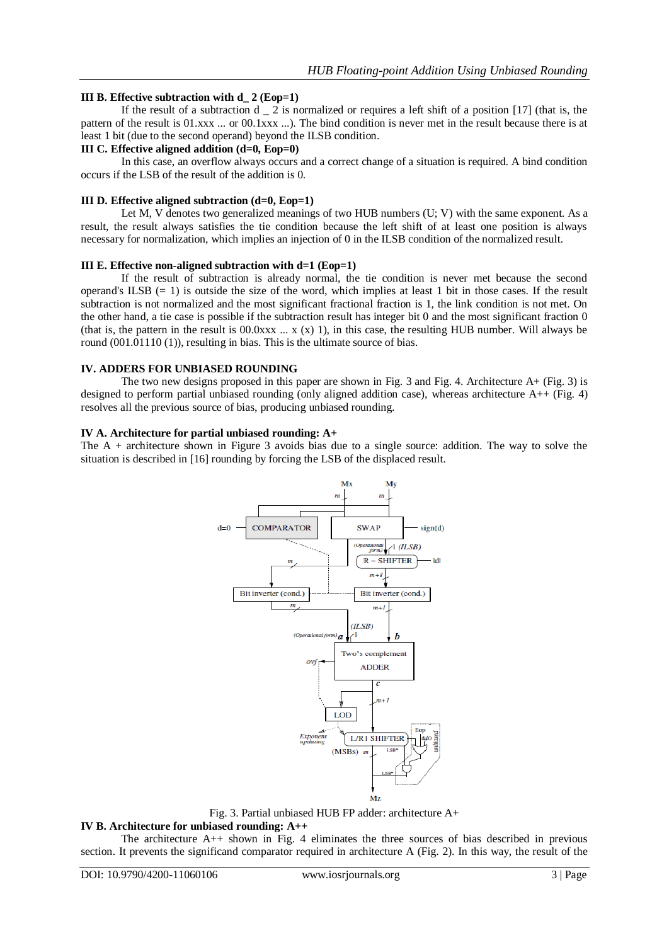### **III B. Effective subtraction with d\_ 2 (Eop=1)**

If the result of a subtraction  $d \nightharpoonup 2$  is normalized or requires a left shift of a position [17] (that is, the pattern of the result is 01.xxx ... or 00.1xxx ...). The bind condition is never met in the result because there is at least 1 bit (due to the second operand) beyond the ILSB condition.

#### **III C. Effective aligned addition (d=0, Eop=0)**

In this case, an overflow always occurs and a correct change of a situation is required. A bind condition occurs if the LSB of the result of the addition is 0.

#### **III D. Effective aligned subtraction (d=0, Eop=1)**

Let M, V denotes two generalized meanings of two HUB numbers (U; V) with the same exponent. As a result, the result always satisfies the tie condition because the left shift of at least one position is always necessary for normalization, which implies an injection of 0 in the ILSB condition of the normalized result.

#### **III E. Effective non-aligned subtraction with d=1 (Eop=1)**

If the result of subtraction is already normal, the tie condition is never met because the second operand's ILSB  $(= 1)$  is outside the size of the word, which implies at least 1 bit in those cases. If the result subtraction is not normalized and the most significant fractional fraction is 1, the link condition is not met. On the other hand, a tie case is possible if the subtraction result has integer bit 0 and the most significant fraction 0 (that is, the pattern in the result is 00.0xxx  $\ldots$  x (x) 1), in this case, the resulting HUB number. Will always be round (001.01110 (1)), resulting in bias. This is the ultimate source of bias.

#### **IV. ADDERS FOR UNBIASED ROUNDING**

The two new designs proposed in this paper are shown in Fig. 3 and Fig. 4. Architecture A+ (Fig. 3) is designed to perform partial unbiased rounding (only aligned addition case), whereas architecture  $A++$  (Fig. 4) resolves all the previous source of bias, producing unbiased rounding.

#### **IV A. Architecture for partial unbiased rounding: A+**

The A + architecture shown in Figure 3 avoids bias due to a single source: addition. The way to solve the situation is described in [16] rounding by forcing the LSB of the displaced result.



Fig. 3. Partial unbiased HUB FP adder: architecture A+

#### **IV B. Architecture for unbiased rounding: A++**

The architecture A++ shown in Fig. 4 eliminates the three sources of bias described in previous section. It prevents the significand comparator required in architecture A (Fig. 2). In this way, the result of the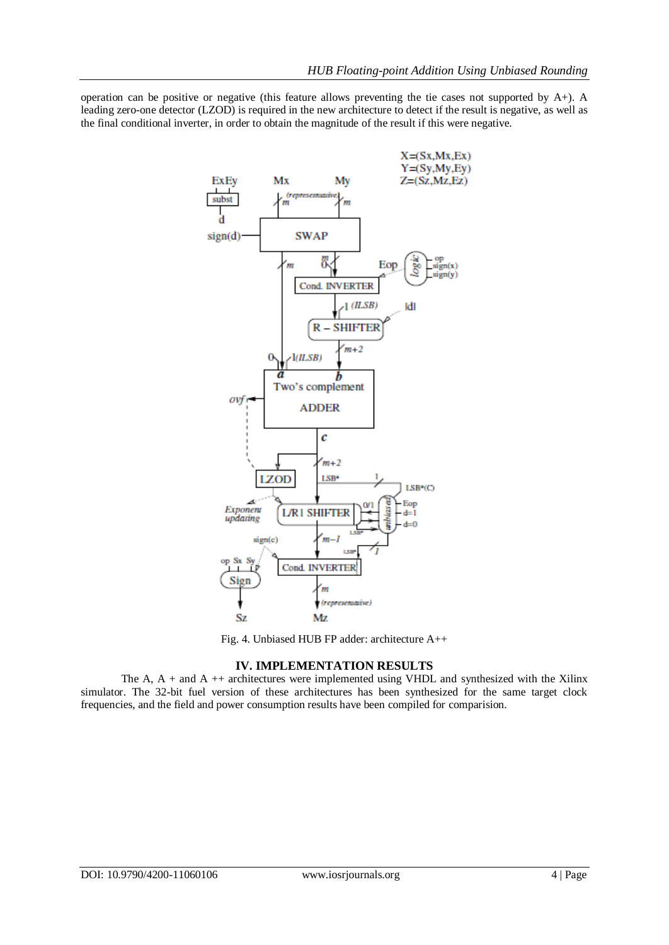operation can be positive or negative (this feature allows preventing the tie cases not supported by  $A+$ ). A leading zero-one detector (LZOD) is required in the new architecture to detect if the result is negative, as well as the final conditional inverter, in order to obtain the magnitude of the result if this were negative.



Fig. 4. Unbiased HUB FP adder: architecture A++

## **IV. IMPLEMENTATION RESULTS**

The A,  $A +$  and  $A + +$  architectures were implemented using VHDL and synthesized with the Xilinx simulator. The 32-bit fuel version of these architectures has been synthesized for the same target clock frequencies, and the field and power consumption results have been compiled for comparision.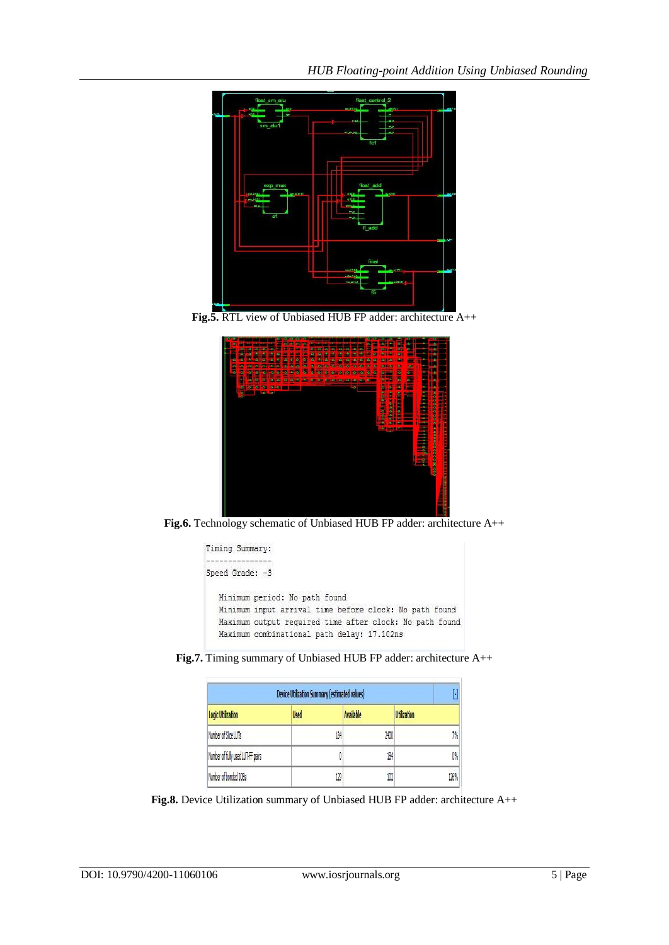

**Fig.5.** RTL view of Unbiased HUB FP adder: architecture A++



**Fig.6.** Technology schematic of Unbiased HUB FP adder: architecture A++



**Fig.7.** Timing summary of Unbiased HUB FP adder: architecture A++

| <b>Device Utilization Summary (estimated values)</b> |             |                  |                    |
|------------------------------------------------------|-------------|------------------|--------------------|
| <b>Logic Utilization</b>                             | <b>Used</b> | <b>Available</b> | <b>Utilization</b> |
| Number of Slice LUTs                                 | 184         | 2400             | 7%                 |
| Number of fully used LUT-FF pairs                    |             | 184              | 0%                 |
| Number of bonded IOBs                                | 129         | 102              | 126%               |

**Fig.8.** Device Utilization summary of Unbiased HUB FP adder: architecture A++